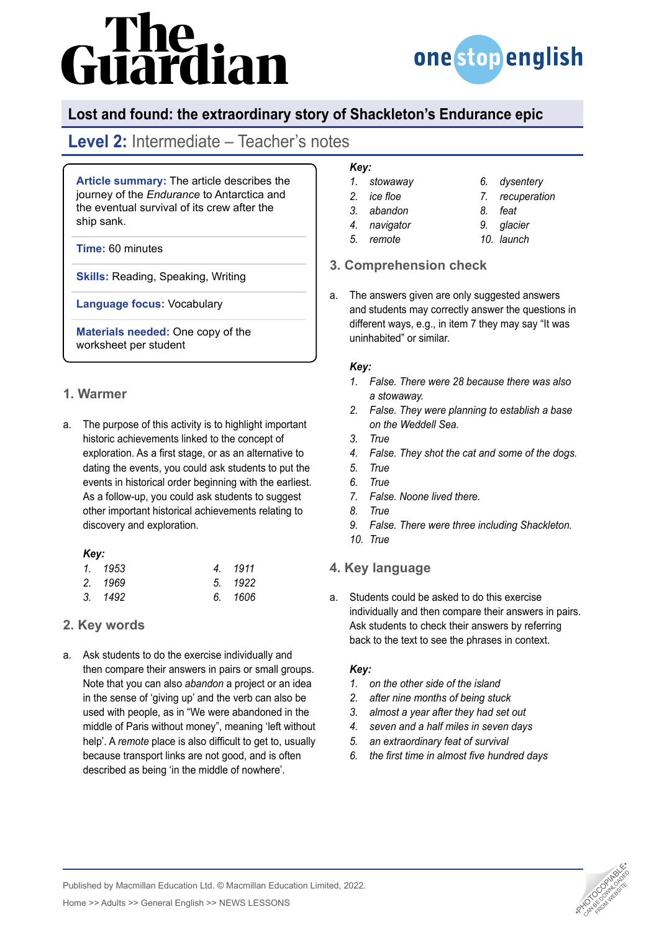# The<br>uardian



## **Lost and found: the extraordinary story of Shackleton's Endurance epic**

# **Level 2:** Intermediate – Teacher's notes

**Article summary:** The article describes the journey of the *Endurance* to Antarctica and the eventual survival of its crew after the ship sank.

**Time:** 60 minutes

**Skills:** Reading, Speaking, Writing

**Language focus:** Vocabulary

**Materials needed:** One copy of the worksheet per student

#### **1. Warmer**

a. The purpose of this activity is to highlight important historic achievements linked to the concept of exploration. As a first stage, or as an alternative to dating the events, you could ask students to put the events in historical order beginning with the earliest. As a follow-up, you could ask students to suggest other important historical achievements relating to discovery and exploration.

#### *Key:*

| 1. 1953 | 4. 1911 |
|---------|---------|
| 2. 1969 | 5. 1922 |
| 3. 1492 | 6. 1606 |

### **2. Key words**

a. Ask students to do the exercise individually and then compare their answers in pairs or small groups. Note that you can also *abandon* a project or an idea in the sense of 'giving up' and the verb can also be used with people, as in "We were abandoned in the middle of Paris without money", meaning 'left without help'. A *remote* place is also difficult to get to, usually because transport links are not good, and is often described as being 'in the middle of nowhere'.

## *Key:*

- *1. stowaway*
- *2. ice floe 3. abandon*
- *4. navigator*
- *5. remote*
- *9. glacier*

*6. dysentery 7. recuperation*

*10. launch*

*8. feat*

### **3. Comprehension check**

a. The answers given are only suggested answers and students may correctly answer the questions in different ways, e.g., in item 7 they may say "It was uninhabited" or similar.

#### *Key:*

- *1. False. There were 28 because there was also a stowaway.*
- *2. False. They were planning to establish a base on the Weddell Sea.*
- *3. True*
- *4. False. They shot the cat and some of the dogs.*
- *5. True*
- *6. True*
- *7. False. Noone lived there.*
- *8. True*
- *9. False. There were three including Shackleton.*
- *10. True*

### **4. Key language**

a. Students could be asked to do this exercise individually and then compare their answers in pairs. Ask students to check their answers by referring back to the text to see the phrases in context.

#### *Key:*

- *1. on the other side of the island*
- *2. after nine months of being stuck*
- *3. almost a year after they had set out*
- *4. seven and a half miles in seven days*
- *5. an extraordinary feat of survival*
- *6. the first time in almost five hundred days*



Published by Macmillan Education Ltd. © Macmillan Education Limited, 2022.